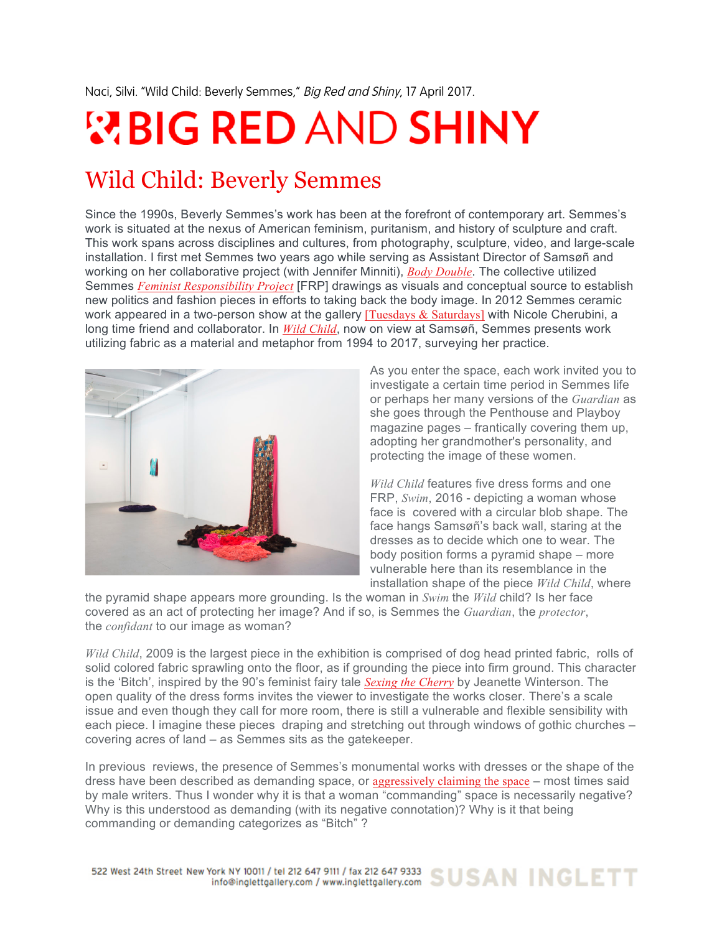Naci, Silvi. "Wild Child: Beverly Semmes," Big Red and Shiny, 17 April 2017.

## **WBIG RED AND SHINY**

## Wild Child: Beverly Semmes

Since the 1990s, Beverly Semmes's work has been at the forefront of contemporary art. Semmes's work is situated at the nexus of American feminism, puritanism, and history of sculpture and craft. This work spans across disciplines and cultures, from photography, sculpture, video, and large-scale installation. I first met Semmes two years ago while serving as Assistant Director of Samsøñ and working on her collaborative project (with Jennifer Minniti), *Body Double*. The collective utilized Semmes *Feminist Responsibility Project* [FRP] drawings as visuals and conceptual source to establish new politics and fashion pieces in efforts to taking back the body image. In 2012 Semmes ceramic work appeared in a two-person show at the gallery [Tuesdays  $\&$  Saturdays] with Nicole Cherubini, a long time friend and collaborator. In *Wild Child*, now on view at Samsøñ, Semmes presents work utilizing fabric as a material and metaphor from 1994 to 2017, surveying her practice.



As you enter the space, each work invited you to investigate a certain time period in Semmes life or perhaps her many versions of the *Guardian* as she goes through the Penthouse and Playboy magazine pages – frantically covering them up, adopting her grandmother's personality, and protecting the image of these women.

*Wild Child* features five dress forms and one FRP, *Swim*, 2016 - depicting a woman whose face is covered with a circular blob shape. The face hangs Samsøñ's back wall, staring at the dresses as to decide which one to wear. The body position forms a pyramid shape – more vulnerable here than its resemblance in the installation shape of the piece *Wild Child*, where

the pyramid shape appears more grounding. Is the woman in *Swim* the *Wild* child? Is her face covered as an act of protecting her image? And if so, is Semmes the *Guardian*, the *protector*, the *confidant* to our image as woman?

*Wild Child*, 2009 is the largest piece in the exhibition is comprised of dog head printed fabric, rolls of solid colored fabric sprawling onto the floor, as if grounding the piece into firm ground. This character is the 'Bitch', inspired by the 90's feminist fairy tale *Sexing the Cherry* by Jeanette Winterson. The open quality of the dress forms invites the viewer to investigate the works closer. There's a scale issue and even though they call for more room, there is still a vulnerable and flexible sensibility with each piece. I imagine these pieces draping and stretching out through windows of gothic churches – covering acres of land – as Semmes sits as the gatekeeper.

In previous reviews, the presence of Semmes's monumental works with dresses or the shape of the dress have been described as demanding space, or aggressively claiming the space – most times said by male writers. Thus I wonder why it is that a woman "commanding" space is necessarily negative? Why is this understood as demanding (with its negative connotation)? Why is it that being commanding or demanding categorizes as "Bitch" ?